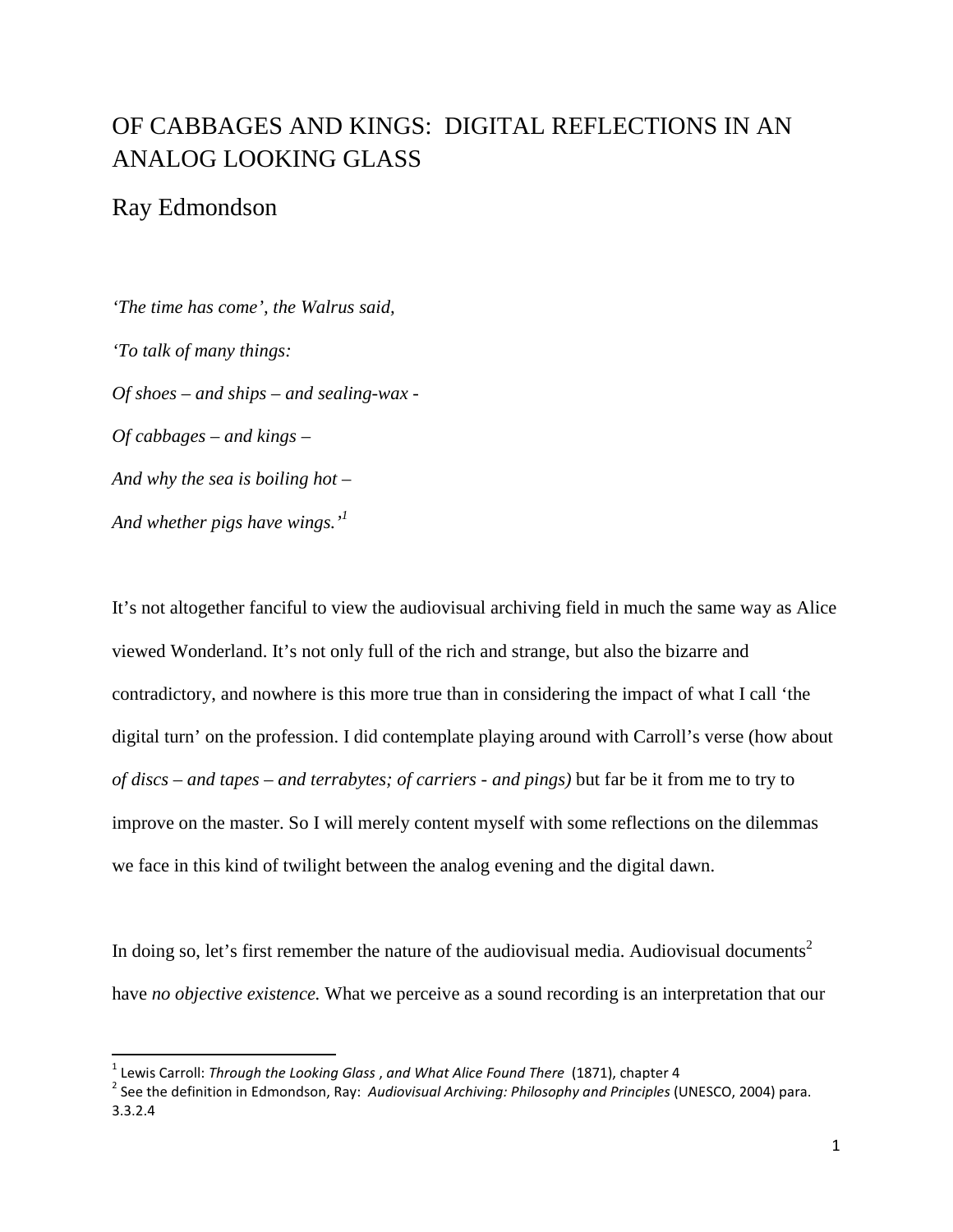# OF CABBAGES AND KINGS: DIGITAL REFLECTIONS IN AN ANALOG LOOKING GLASS

# Ray Edmondson

 $\overline{a}$ 

*'The time has come', the Walrus said, 'To talk of many things: Of shoes – and ships – and sealing-wax - Of cabbages – and kings – And why the sea is boiling hot – And whether pigs have wings.'<sup>1</sup>*

It's not altogether fanciful to view the audiovisual archiving field in much the same way as Alice viewed Wonderland. It's not only full of the rich and strange, but also the bizarre and contradictory, and nowhere is this more true than in considering the impact of what I call 'the digital turn' on the profession. I did contemplate playing around with Carroll's verse (how about *of discs – and tapes – and terrabytes; of carriers - and pings)* but far be it from me to try to improve on the master. So I will merely content myself with some reflections on the dilemmas we face in this kind of twilight between the analog evening and the digital dawn.

In doing so, let's first remember the nature of the audiovisual media. Audiovisual documents<sup>2</sup> have *no objective existence.* What we perceive as a sound recording is an interpretation that our

 $^1$  Lewis Carroll: *Through the Looking Glass* , and What Alice Found There (1871), chapter 4

<sup>&</sup>lt;sup>2</sup> See the definition in Edmondson, Ray: Audiovisual Archiving: Philosophy and Principles (UNESCO, 2004) para. 3.3.2.4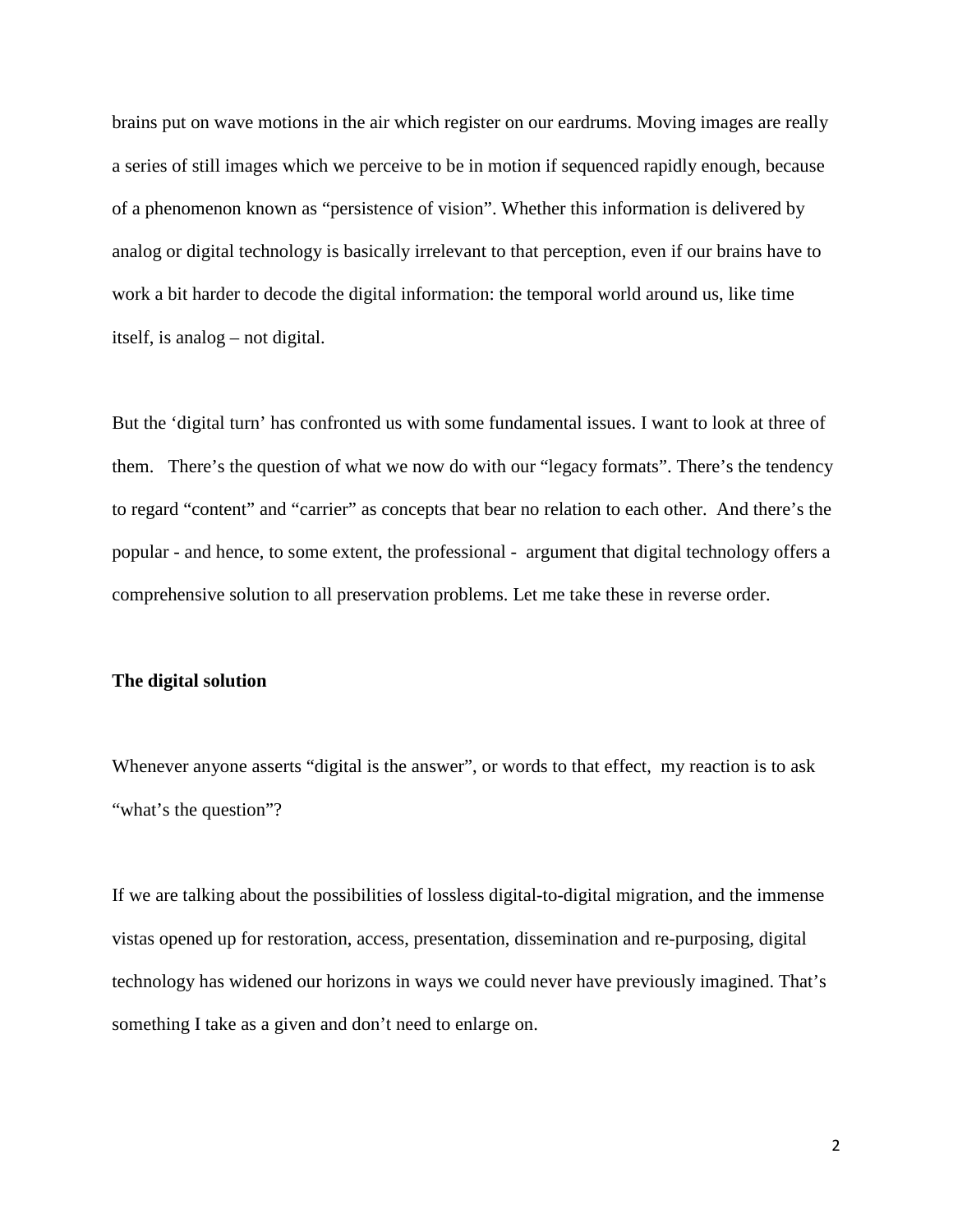brains put on wave motions in the air which register on our eardrums. Moving images are really a series of still images which we perceive to be in motion if sequenced rapidly enough, because of a phenomenon known as "persistence of vision". Whether this information is delivered by analog or digital technology is basically irrelevant to that perception, even if our brains have to work a bit harder to decode the digital information: the temporal world around us, like time itself, is analog – not digital.

But the 'digital turn' has confronted us with some fundamental issues. I want to look at three of them. There's the question of what we now do with our "legacy formats". There's the tendency to regard "content" and "carrier" as concepts that bear no relation to each other. And there's the popular - and hence, to some extent, the professional - argument that digital technology offers a comprehensive solution to all preservation problems. Let me take these in reverse order.

### **The digital solution**

Whenever anyone asserts "digital is the answer", or words to that effect, my reaction is to ask "what's the question"?

If we are talking about the possibilities of lossless digital-to-digital migration, and the immense vistas opened up for restoration, access, presentation, dissemination and re-purposing, digital technology has widened our horizons in ways we could never have previously imagined. That's something I take as a given and don't need to enlarge on.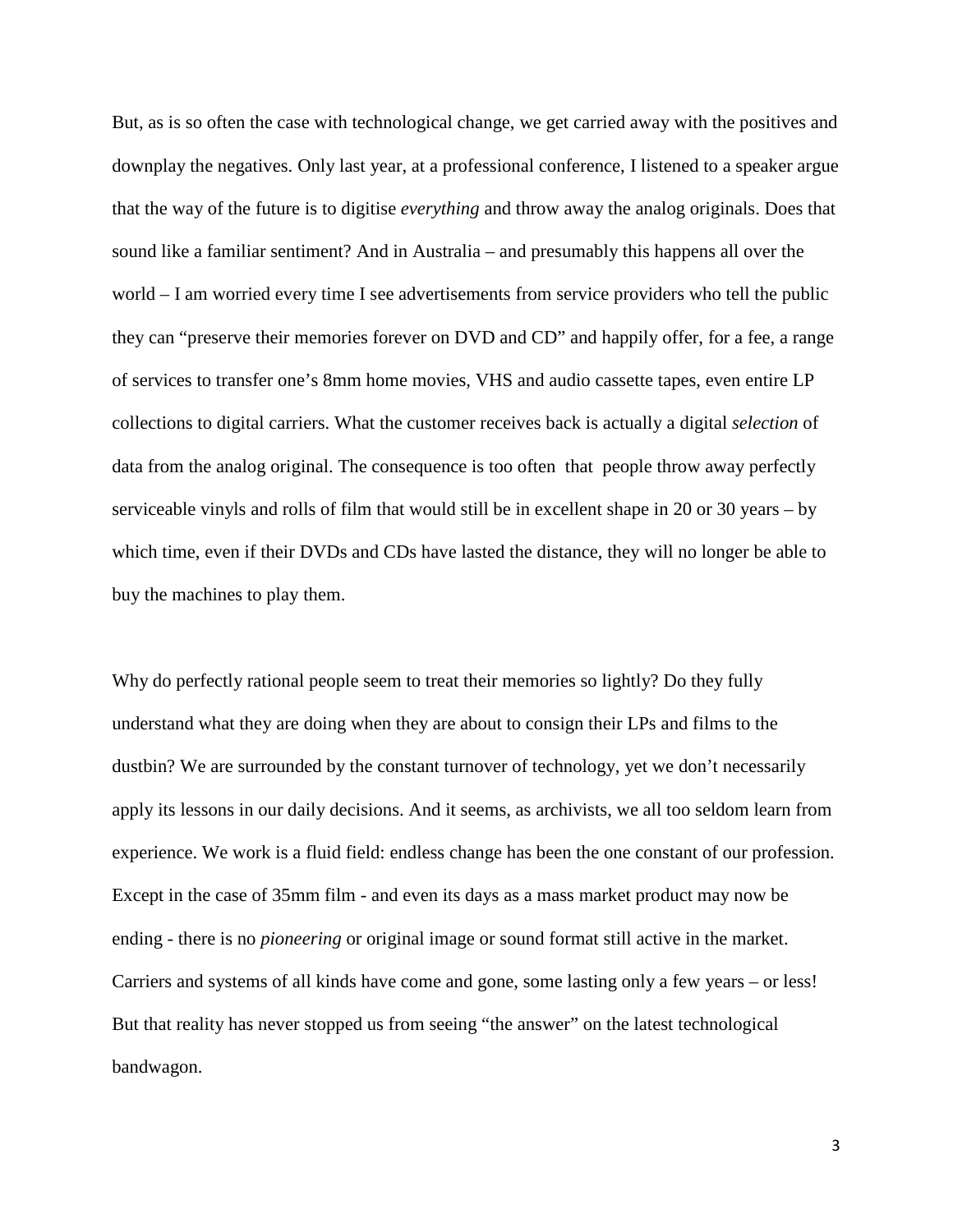But, as is so often the case with technological change, we get carried away with the positives and downplay the negatives. Only last year, at a professional conference, I listened to a speaker argue that the way of the future is to digitise *everything* and throw away the analog originals. Does that sound like a familiar sentiment? And in Australia – and presumably this happens all over the world – I am worried every time I see advertisements from service providers who tell the public they can "preserve their memories forever on DVD and CD" and happily offer, for a fee, a range of services to transfer one's 8mm home movies, VHS and audio cassette tapes, even entire LP collections to digital carriers. What the customer receives back is actually a digital *selection* of data from the analog original. The consequence is too often that people throw away perfectly serviceable vinyls and rolls of film that would still be in excellent shape in 20 or 30 years – by which time, even if their DVDs and CDs have lasted the distance, they will no longer be able to buy the machines to play them.

Why do perfectly rational people seem to treat their memories so lightly? Do they fully understand what they are doing when they are about to consign their LPs and films to the dustbin? We are surrounded by the constant turnover of technology, yet we don't necessarily apply its lessons in our daily decisions. And it seems, as archivists, we all too seldom learn from experience. We work is a fluid field: endless change has been the one constant of our profession. Except in the case of 35mm film - and even its days as a mass market product may now be ending - there is no *pioneering* or original image or sound format still active in the market. Carriers and systems of all kinds have come and gone, some lasting only a few years – or less! But that reality has never stopped us from seeing "the answer" on the latest technological bandwagon.

3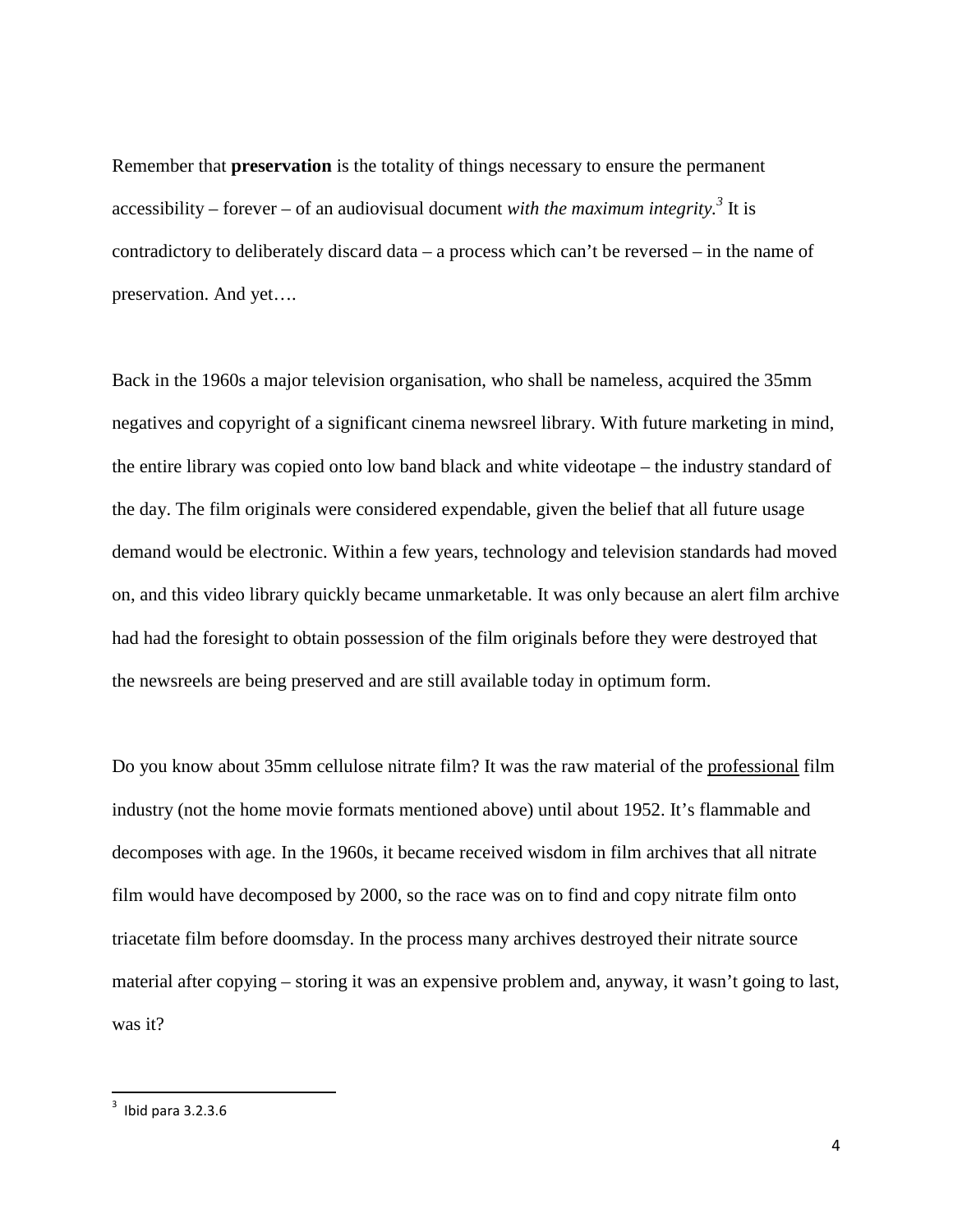Remember that **preservation** is the totality of things necessary to ensure the permanent accessibility – forever – of an audiovisual document *with the maximum integrity.<sup>3</sup>* It is contradictory to deliberately discard data – a process which can't be reversed – in the name of preservation. And yet….

Back in the 1960s a major television organisation, who shall be nameless, acquired the 35mm negatives and copyright of a significant cinema newsreel library. With future marketing in mind, the entire library was copied onto low band black and white videotape – the industry standard of the day. The film originals were considered expendable, given the belief that all future usage demand would be electronic. Within a few years, technology and television standards had moved on, and this video library quickly became unmarketable. It was only because an alert film archive had had the foresight to obtain possession of the film originals before they were destroyed that the newsreels are being preserved and are still available today in optimum form.

Do you know about 35mm cellulose nitrate film? It was the raw material of the professional film industry (not the home movie formats mentioned above) until about 1952. It's flammable and decomposes with age. In the 1960s, it became received wisdom in film archives that all nitrate film would have decomposed by 2000, so the race was on to find and copy nitrate film onto triacetate film before doomsday. In the process many archives destroyed their nitrate source material after copying – storing it was an expensive problem and, anyway, it wasn't going to last, was it?

 $\overline{a}$ 

 $3$  Ibid para 3.2.3.6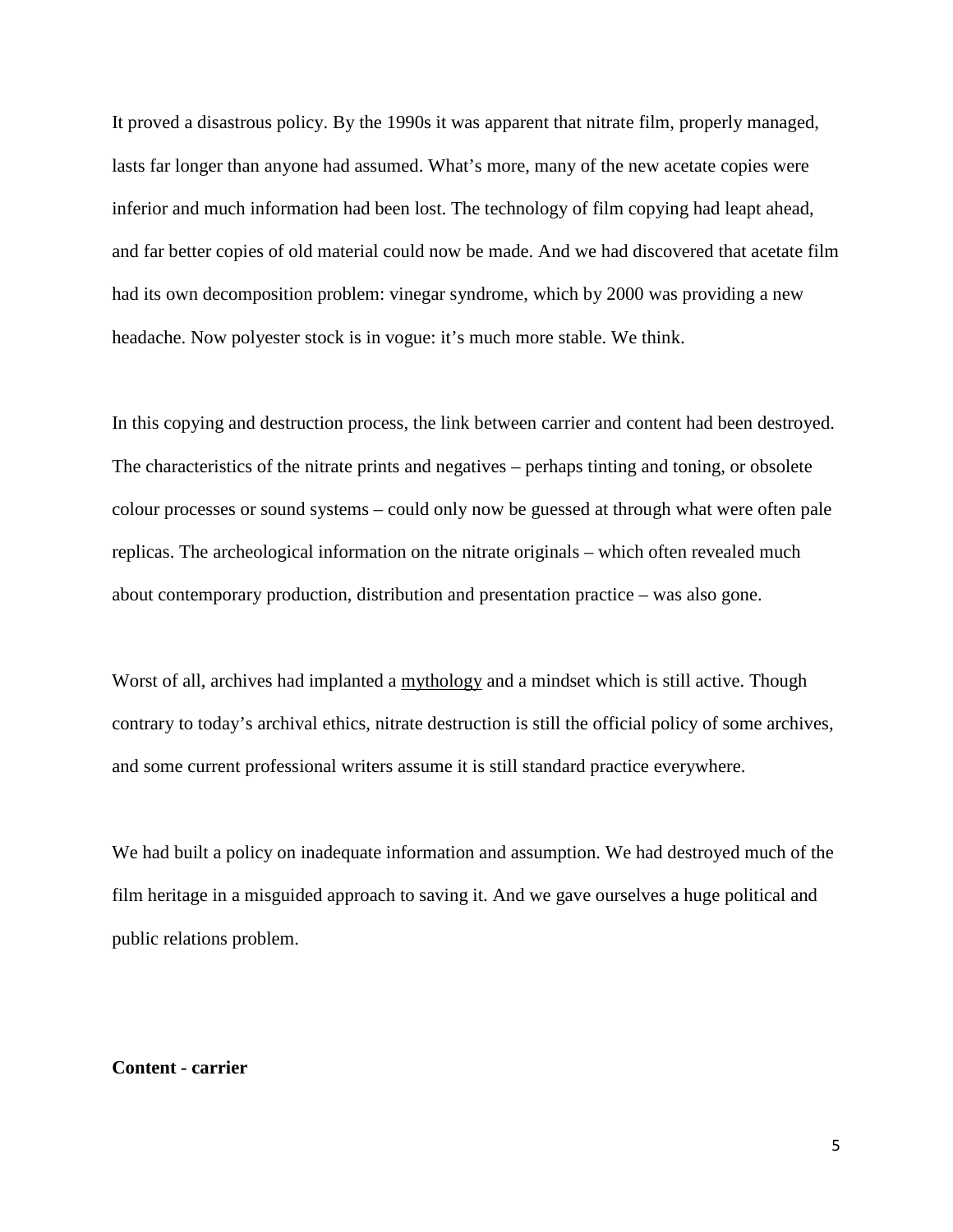It proved a disastrous policy. By the 1990s it was apparent that nitrate film, properly managed, lasts far longer than anyone had assumed. What's more, many of the new acetate copies were inferior and much information had been lost. The technology of film copying had leapt ahead, and far better copies of old material could now be made. And we had discovered that acetate film had its own decomposition problem: vinegar syndrome, which by 2000 was providing a new headache. Now polyester stock is in vogue: it's much more stable. We think.

In this copying and destruction process, the link between carrier and content had been destroyed. The characteristics of the nitrate prints and negatives – perhaps tinting and toning, or obsolete colour processes or sound systems – could only now be guessed at through what were often pale replicas. The archeological information on the nitrate originals – which often revealed much about contemporary production, distribution and presentation practice – was also gone.

Worst of all, archives had implanted a mythology and a mindset which is still active. Though contrary to today's archival ethics, nitrate destruction is still the official policy of some archives, and some current professional writers assume it is still standard practice everywhere.

We had built a policy on inadequate information and assumption. We had destroyed much of the film heritage in a misguided approach to saving it. And we gave ourselves a huge political and public relations problem.

#### **Content - carrier**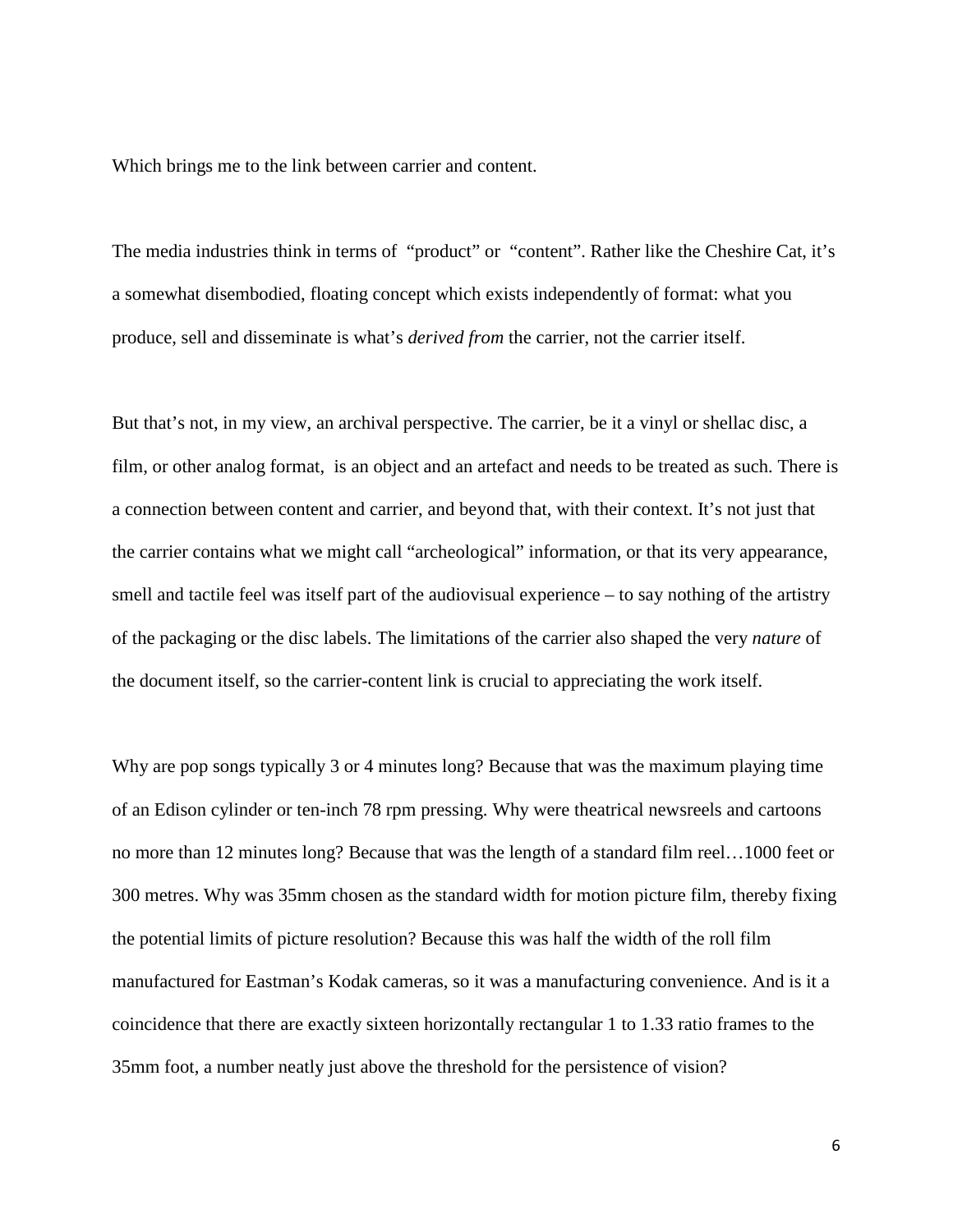Which brings me to the link between carrier and content.

The media industries think in terms of "product" or "content". Rather like the Cheshire Cat, it's a somewhat disembodied, floating concept which exists independently of format: what you produce, sell and disseminate is what's *derived from* the carrier, not the carrier itself.

But that's not, in my view, an archival perspective. The carrier, be it a vinyl or shellac disc, a film, or other analog format, is an object and an artefact and needs to be treated as such. There is a connection between content and carrier, and beyond that, with their context. It's not just that the carrier contains what we might call "archeological" information, or that its very appearance, smell and tactile feel was itself part of the audiovisual experience – to say nothing of the artistry of the packaging or the disc labels. The limitations of the carrier also shaped the very *nature* of the document itself, so the carrier-content link is crucial to appreciating the work itself.

Why are pop songs typically 3 or 4 minutes long? Because that was the maximum playing time of an Edison cylinder or ten-inch 78 rpm pressing. Why were theatrical newsreels and cartoons no more than 12 minutes long? Because that was the length of a standard film reel…1000 feet or 300 metres. Why was 35mm chosen as the standard width for motion picture film, thereby fixing the potential limits of picture resolution? Because this was half the width of the roll film manufactured for Eastman's Kodak cameras, so it was a manufacturing convenience. And is it a coincidence that there are exactly sixteen horizontally rectangular 1 to 1.33 ratio frames to the 35mm foot, a number neatly just above the threshold for the persistence of vision?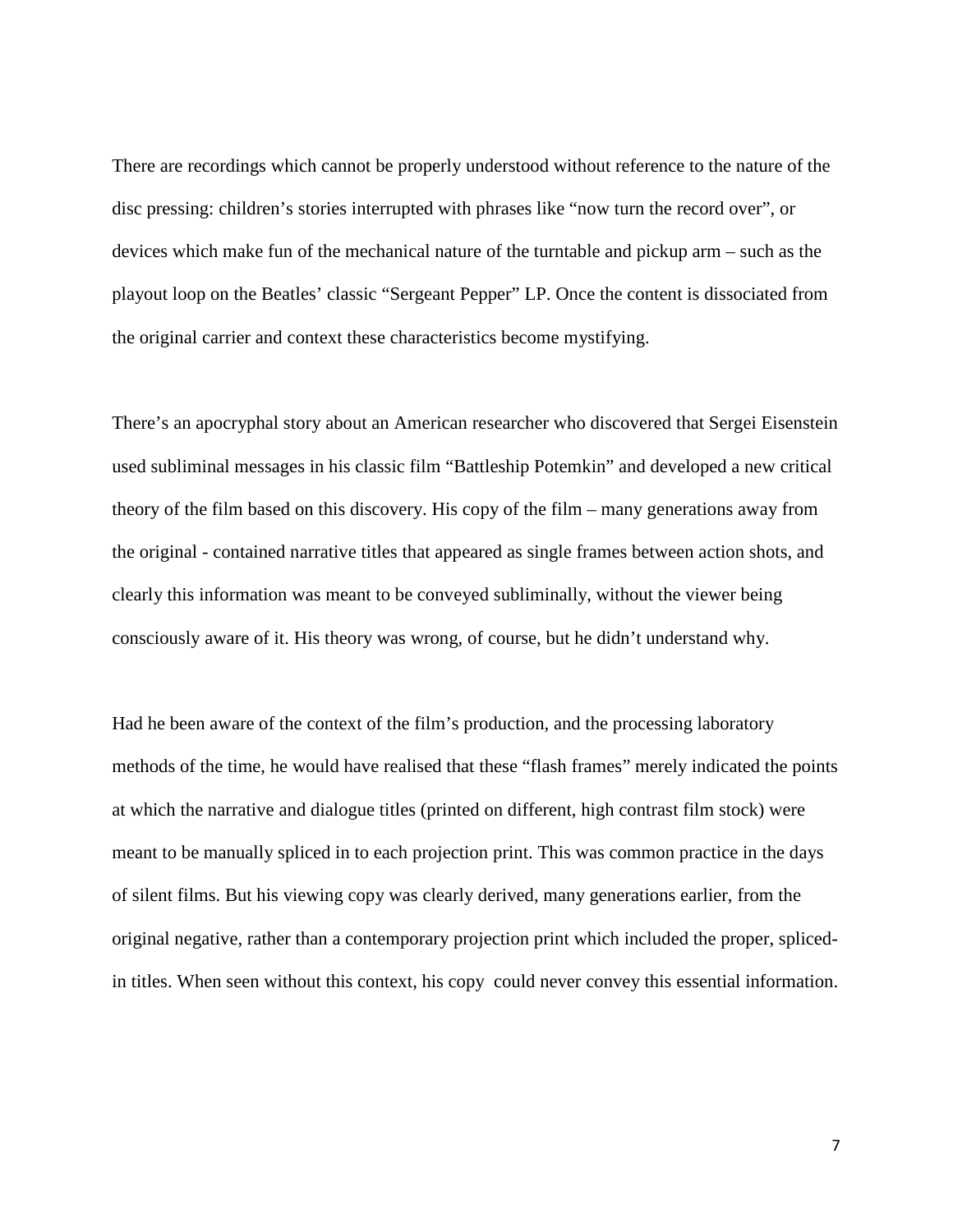There are recordings which cannot be properly understood without reference to the nature of the disc pressing: children's stories interrupted with phrases like "now turn the record over", or devices which make fun of the mechanical nature of the turntable and pickup arm – such as the playout loop on the Beatles' classic "Sergeant Pepper" LP. Once the content is dissociated from the original carrier and context these characteristics become mystifying.

There's an apocryphal story about an American researcher who discovered that Sergei Eisenstein used subliminal messages in his classic film "Battleship Potemkin" and developed a new critical theory of the film based on this discovery. His copy of the film – many generations away from the original - contained narrative titles that appeared as single frames between action shots, and clearly this information was meant to be conveyed subliminally, without the viewer being consciously aware of it. His theory was wrong, of course, but he didn't understand why.

Had he been aware of the context of the film's production, and the processing laboratory methods of the time, he would have realised that these "flash frames" merely indicated the points at which the narrative and dialogue titles (printed on different, high contrast film stock) were meant to be manually spliced in to each projection print. This was common practice in the days of silent films. But his viewing copy was clearly derived, many generations earlier, from the original negative, rather than a contemporary projection print which included the proper, splicedin titles. When seen without this context, his copy could never convey this essential information.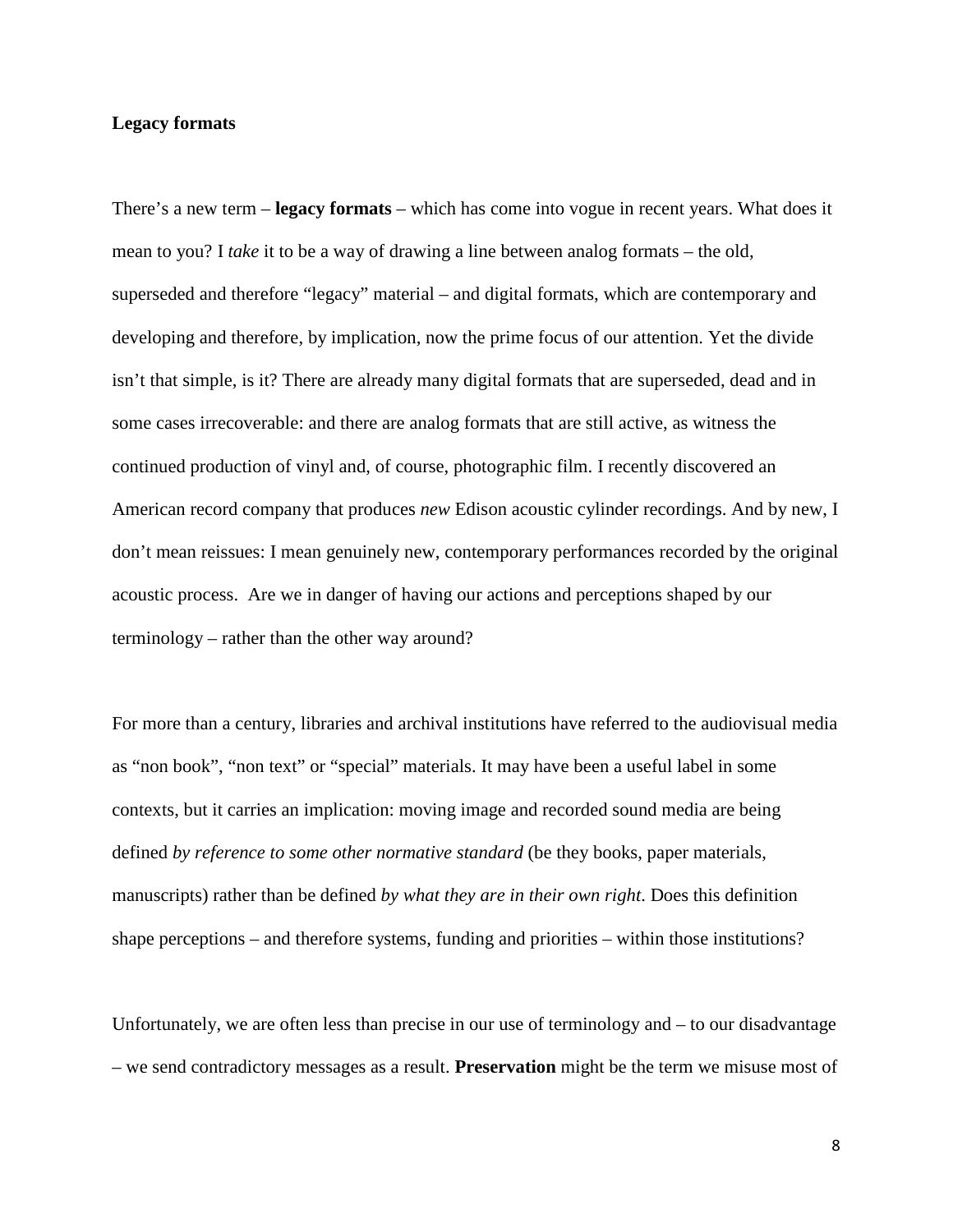# **Legacy formats**

There's a new term – **legacy formats** – which has come into vogue in recent years. What does it mean to you? I *take* it to be a way of drawing a line between analog formats – the old, superseded and therefore "legacy" material – and digital formats, which are contemporary and developing and therefore, by implication, now the prime focus of our attention. Yet the divide isn't that simple, is it? There are already many digital formats that are superseded, dead and in some cases irrecoverable: and there are analog formats that are still active, as witness the continued production of vinyl and, of course, photographic film. I recently discovered an American record company that produces *new* Edison acoustic cylinder recordings. And by new, I don't mean reissues: I mean genuinely new, contemporary performances recorded by the original acoustic process. Are we in danger of having our actions and perceptions shaped by our terminology – rather than the other way around?

For more than a century, libraries and archival institutions have referred to the audiovisual media as "non book", "non text" or "special" materials. It may have been a useful label in some contexts, but it carries an implication: moving image and recorded sound media are being defined *by reference to some other normative standard* (be they books, paper materials, manuscripts) rather than be defined *by what they are in their own right*. Does this definition shape perceptions – and therefore systems, funding and priorities – within those institutions?

Unfortunately, we are often less than precise in our use of terminology and – to our disadvantage – we send contradictory messages as a result. **Preservation** might be the term we misuse most of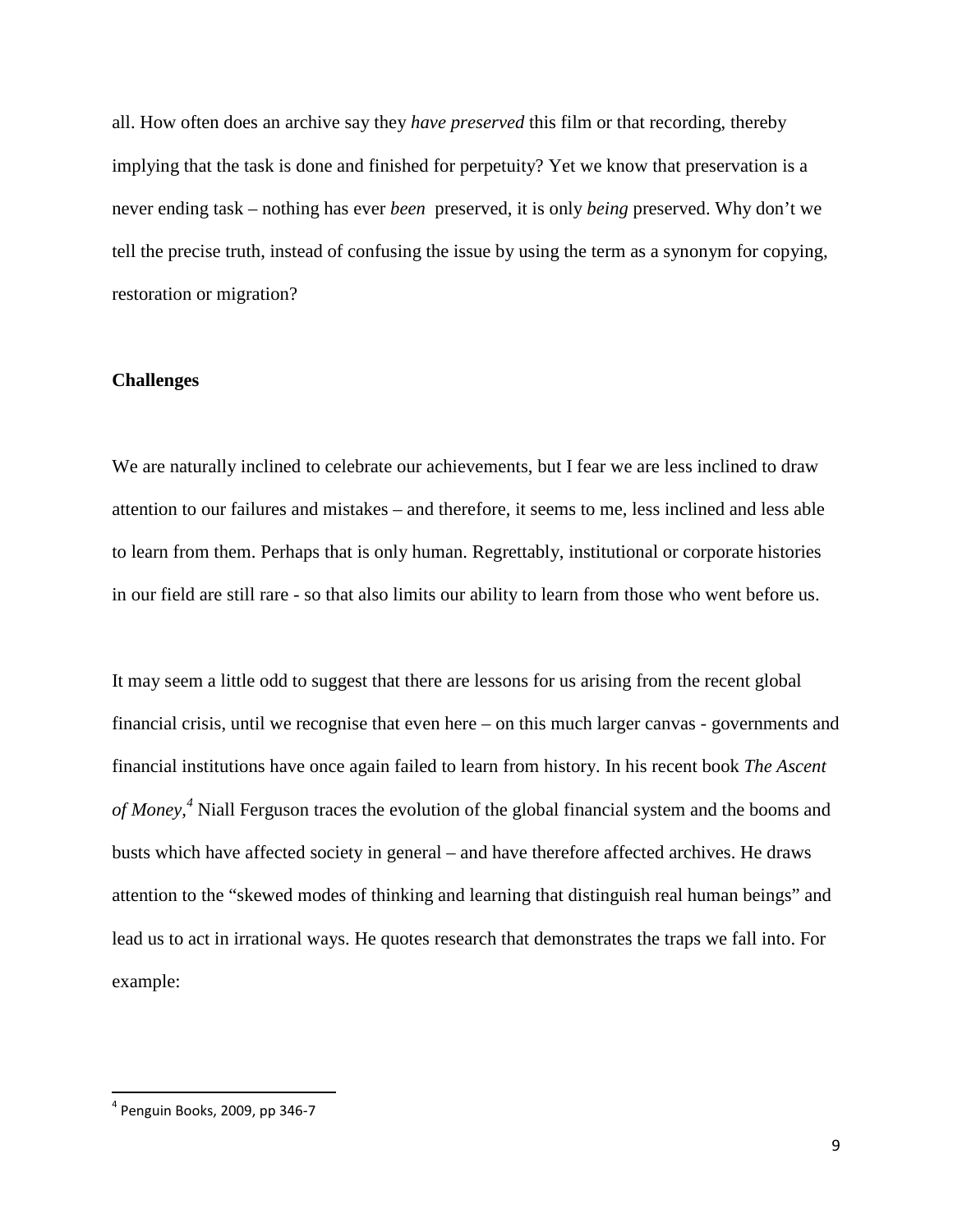all. How often does an archive say they *have preserved* this film or that recording, thereby implying that the task is done and finished for perpetuity? Yet we know that preservation is a never ending task – nothing has ever *been* preserved, it is only *being* preserved. Why don't we tell the precise truth, instead of confusing the issue by using the term as a synonym for copying, restoration or migration?

## **Challenges**

We are naturally inclined to celebrate our achievements, but I fear we are less inclined to draw attention to our failures and mistakes – and therefore, it seems to me, less inclined and less able to learn from them. Perhaps that is only human. Regrettably, institutional or corporate histories in our field are still rare - so that also limits our ability to learn from those who went before us.

It may seem a little odd to suggest that there are lessons for us arising from the recent global financial crisis, until we recognise that even here – on this much larger canvas - governments and financial institutions have once again failed to learn from history. In his recent book *The Ascent of Money,<sup>4</sup>* Niall Ferguson traces the evolution of the global financial system and the booms and busts which have affected society in general – and have therefore affected archives. He draws attention to the "skewed modes of thinking and learning that distinguish real human beings" and lead us to act in irrational ways. He quotes research that demonstrates the traps we fall into. For example:

 $\overline{a}$ 

<sup>4</sup> Penguin Books, 2009, pp 346-7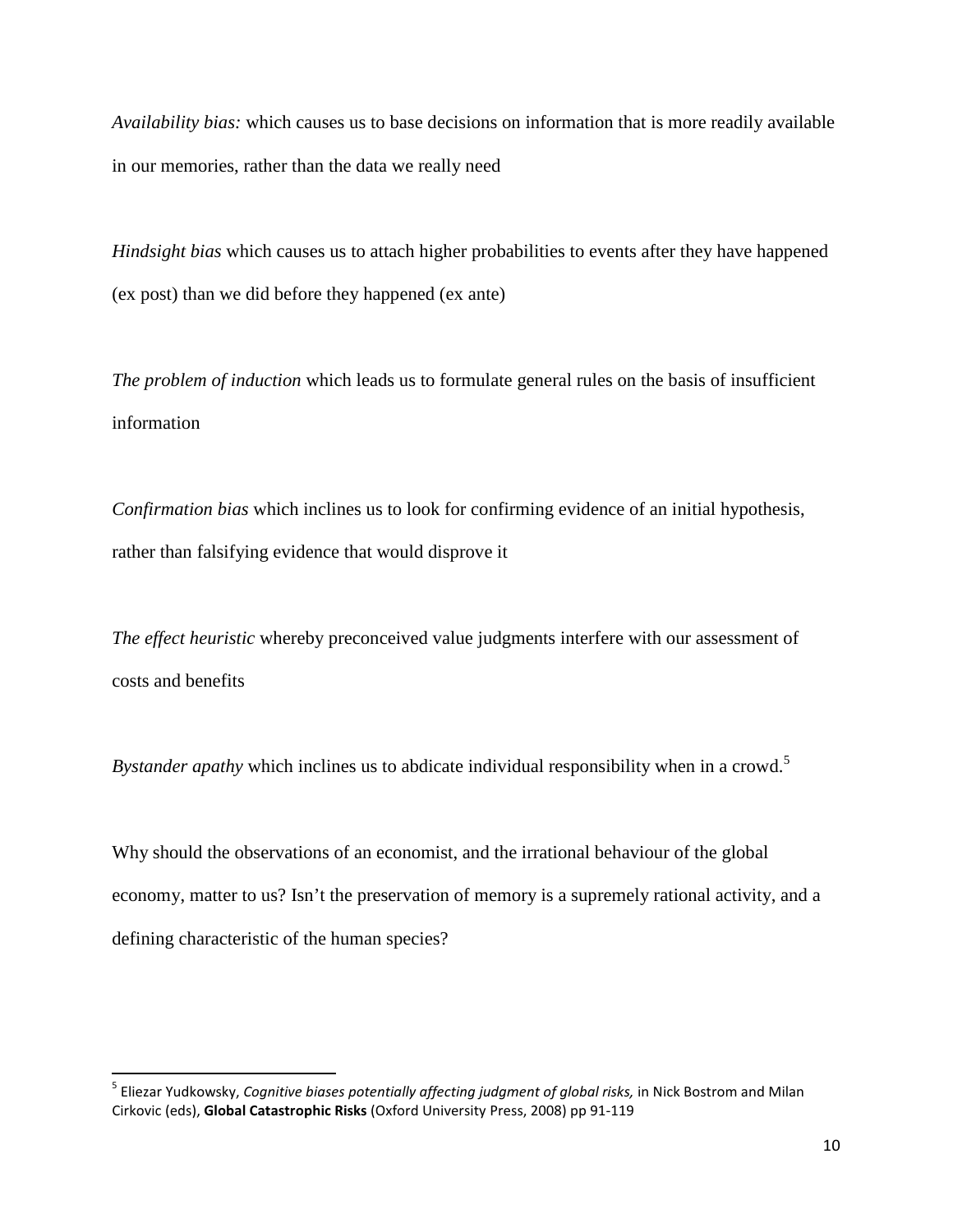*Availability bias:* which causes us to base decisions on information that is more readily available in our memories, rather than the data we really need

*Hindsight bias* which causes us to attach higher probabilities to events after they have happened (ex post) than we did before they happened (ex ante)

*The problem of induction* which leads us to formulate general rules on the basis of insufficient information

*Confirmation bias* which inclines us to look for confirming evidence of an initial hypothesis, rather than falsifying evidence that would disprove it

*The effect heuristic* whereby preconceived value judgments interfere with our assessment of costs and benefits

*Bystander apathy* which inclines us to abdicate individual responsibility when in a crowd.<sup>5</sup>

Why should the observations of an economist, and the irrational behaviour of the global economy, matter to us? Isn't the preservation of memory is a supremely rational activity, and a defining characteristic of the human species?

 $\overline{a}$ 

<sup>&</sup>lt;sup>5</sup> Eliezar Yudkowsky, *Cognitive biases potentially affecting judgment of global risks,* in Nick Bostrom and Milan Cirkovic (eds), Global Catastrophic Risks (Oxford University Press, 2008) pp 91-119